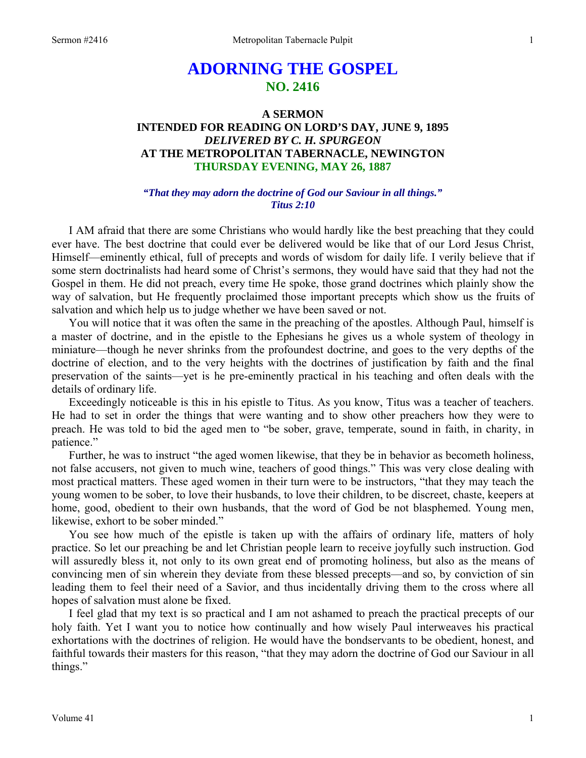# **ADORNING THE GOSPEL NO. 2416**

# **A SERMON INTENDED FOR READING ON LORD'S DAY, JUNE 9, 1895**  *DELIVERED BY C. H. SPURGEON*  **AT THE METROPOLITAN TABERNACLE, NEWINGTON THURSDAY EVENING, MAY 26, 1887**

### *"That they may adorn the doctrine of God our Saviour in all things." Titus 2:10*

I AM afraid that there are some Christians who would hardly like the best preaching that they could ever have. The best doctrine that could ever be delivered would be like that of our Lord Jesus Christ, Himself—eminently ethical, full of precepts and words of wisdom for daily life. I verily believe that if some stern doctrinalists had heard some of Christ's sermons, they would have said that they had not the Gospel in them. He did not preach, every time He spoke, those grand doctrines which plainly show the way of salvation, but He frequently proclaimed those important precepts which show us the fruits of salvation and which help us to judge whether we have been saved or not.

You will notice that it was often the same in the preaching of the apostles. Although Paul, himself is a master of doctrine, and in the epistle to the Ephesians he gives us a whole system of theology in miniature—though he never shrinks from the profoundest doctrine, and goes to the very depths of the doctrine of election, and to the very heights with the doctrines of justification by faith and the final preservation of the saints—yet is he pre-eminently practical in his teaching and often deals with the details of ordinary life.

Exceedingly noticeable is this in his epistle to Titus. As you know, Titus was a teacher of teachers. He had to set in order the things that were wanting and to show other preachers how they were to preach. He was told to bid the aged men to "be sober, grave, temperate, sound in faith, in charity, in patience."

Further, he was to instruct "the aged women likewise, that they be in behavior as becometh holiness, not false accusers, not given to much wine, teachers of good things." This was very close dealing with most practical matters. These aged women in their turn were to be instructors, "that they may teach the young women to be sober, to love their husbands, to love their children, to be discreet, chaste, keepers at home, good, obedient to their own husbands, that the word of God be not blasphemed. Young men, likewise, exhort to be sober minded."

You see how much of the epistle is taken up with the affairs of ordinary life, matters of holy practice. So let our preaching be and let Christian people learn to receive joyfully such instruction. God will assuredly bless it, not only to its own great end of promoting holiness, but also as the means of convincing men of sin wherein they deviate from these blessed precepts—and so, by conviction of sin leading them to feel their need of a Savior, and thus incidentally driving them to the cross where all hopes of salvation must alone be fixed.

I feel glad that my text is so practical and I am not ashamed to preach the practical precepts of our holy faith. Yet I want you to notice how continually and how wisely Paul interweaves his practical exhortations with the doctrines of religion. He would have the bondservants to be obedient, honest, and faithful towards their masters for this reason, "that they may adorn the doctrine of God our Saviour in all things."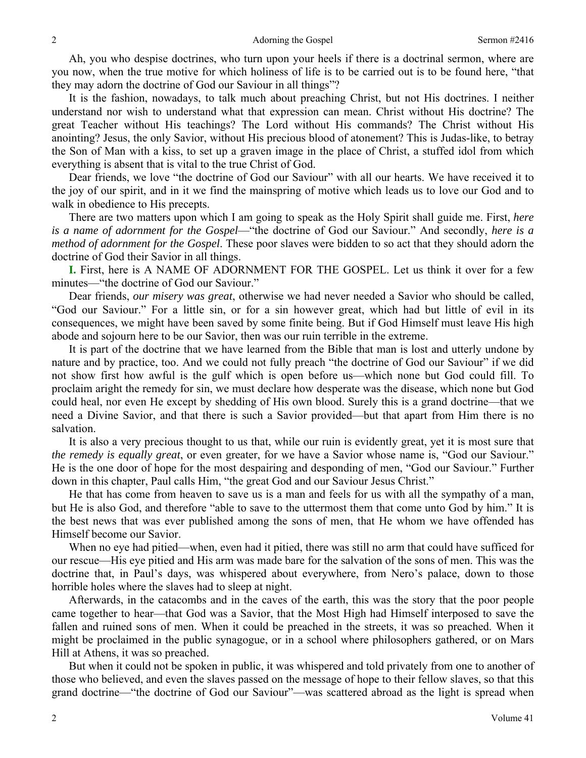Ah, you who despise doctrines, who turn upon your heels if there is a doctrinal sermon, where are you now, when the true motive for which holiness of life is to be carried out is to be found here, "that they may adorn the doctrine of God our Saviour in all things"?

It is the fashion, nowadays, to talk much about preaching Christ, but not His doctrines. I neither understand nor wish to understand what that expression can mean. Christ without His doctrine? The great Teacher without His teachings? The Lord without His commands? The Christ without His anointing? Jesus, the only Savior, without His precious blood of atonement? This is Judas-like, to betray the Son of Man with a kiss, to set up a graven image in the place of Christ, a stuffed idol from which everything is absent that is vital to the true Christ of God.

Dear friends, we love "the doctrine of God our Saviour" with all our hearts. We have received it to the joy of our spirit, and in it we find the mainspring of motive which leads us to love our God and to walk in obedience to His precepts.

There are two matters upon which I am going to speak as the Holy Spirit shall guide me. First, *here is a name of adornment for the Gospel*—"the doctrine of God our Saviour." And secondly, *here is a method of adornment for the Gospel*. These poor slaves were bidden to so act that they should adorn the doctrine of God their Savior in all things.

**I.** First, here is A NAME OF ADORNMENT FOR THE GOSPEL. Let us think it over for a few minutes—"the doctrine of God our Saviour."

Dear friends, *our misery was great*, otherwise we had never needed a Savior who should be called, "God our Saviour." For a little sin, or for a sin however great, which had but little of evil in its consequences, we might have been saved by some finite being. But if God Himself must leave His high abode and sojourn here to be our Savior, then was our ruin terrible in the extreme.

It is part of the doctrine that we have learned from the Bible that man is lost and utterly undone by nature and by practice, too. And we could not fully preach "the doctrine of God our Saviour" if we did not show first how awful is the gulf which is open before us—which none but God could fill. To proclaim aright the remedy for sin, we must declare how desperate was the disease, which none but God could heal, nor even He except by shedding of His own blood. Surely this is a grand doctrine—that we need a Divine Savior, and that there is such a Savior provided—but that apart from Him there is no salvation.

It is also a very precious thought to us that, while our ruin is evidently great, yet it is most sure that *the remedy is equally great*, or even greater, for we have a Savior whose name is, "God our Saviour." He is the one door of hope for the most despairing and desponding of men, "God our Saviour." Further down in this chapter, Paul calls Him, "the great God and our Saviour Jesus Christ."

He that has come from heaven to save us is a man and feels for us with all the sympathy of a man, but He is also God, and therefore "able to save to the uttermost them that come unto God by him." It is the best news that was ever published among the sons of men, that He whom we have offended has Himself become our Savior.

When no eye had pitied—when, even had it pitied, there was still no arm that could have sufficed for our rescue—His eye pitied and His arm was made bare for the salvation of the sons of men. This was the doctrine that, in Paul's days, was whispered about everywhere, from Nero's palace, down to those horrible holes where the slaves had to sleep at night.

Afterwards, in the catacombs and in the caves of the earth, this was the story that the poor people came together to hear—that God was a Savior, that the Most High had Himself interposed to save the fallen and ruined sons of men. When it could be preached in the streets, it was so preached. When it might be proclaimed in the public synagogue, or in a school where philosophers gathered, or on Mars Hill at Athens, it was so preached.

But when it could not be spoken in public, it was whispered and told privately from one to another of those who believed, and even the slaves passed on the message of hope to their fellow slaves, so that this grand doctrine—"the doctrine of God our Saviour"—was scattered abroad as the light is spread when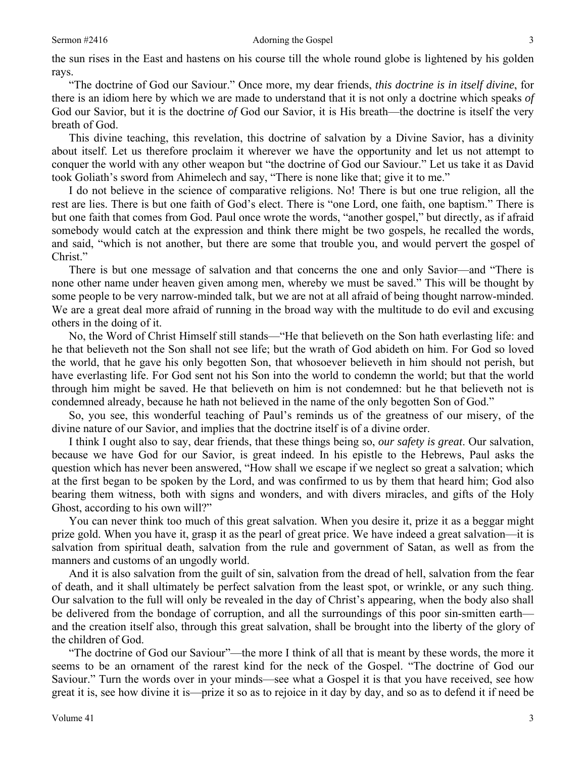Sermon #2416 Adorning the Gospel 3

the sun rises in the East and hastens on his course till the whole round globe is lightened by his golden rays.

"The doctrine of God our Saviour." Once more, my dear friends, *this doctrine is in itself divine*, for there is an idiom here by which we are made to understand that it is not only a doctrine which speaks *of* God our Savior, but it is the doctrine *of* God our Savior, it is His breath—the doctrine is itself the very breath of God.

This divine teaching, this revelation, this doctrine of salvation by a Divine Savior, has a divinity about itself. Let us therefore proclaim it wherever we have the opportunity and let us not attempt to conquer the world with any other weapon but "the doctrine of God our Saviour." Let us take it as David took Goliath's sword from Ahimelech and say, "There is none like that; give it to me."

I do not believe in the science of comparative religions. No! There is but one true religion, all the rest are lies. There is but one faith of God's elect. There is "one Lord, one faith, one baptism." There is but one faith that comes from God. Paul once wrote the words, "another gospel," but directly, as if afraid somebody would catch at the expression and think there might be two gospels, he recalled the words, and said, "which is not another, but there are some that trouble you, and would pervert the gospel of Christ."

There is but one message of salvation and that concerns the one and only Savior—and "There is none other name under heaven given among men, whereby we must be saved." This will be thought by some people to be very narrow-minded talk, but we are not at all afraid of being thought narrow-minded. We are a great deal more afraid of running in the broad way with the multitude to do evil and excusing others in the doing of it.

No, the Word of Christ Himself still stands—"He that believeth on the Son hath everlasting life: and he that believeth not the Son shall not see life; but the wrath of God abideth on him. For God so loved the world, that he gave his only begotten Son, that whosoever believeth in him should not perish, but have everlasting life. For God sent not his Son into the world to condemn the world; but that the world through him might be saved. He that believeth on him is not condemned: but he that believeth not is condemned already, because he hath not believed in the name of the only begotten Son of God."

So, you see, this wonderful teaching of Paul's reminds us of the greatness of our misery, of the divine nature of our Savior, and implies that the doctrine itself is of a divine order.

I think I ought also to say, dear friends, that these things being so, *our safety is great*. Our salvation, because we have God for our Savior, is great indeed. In his epistle to the Hebrews, Paul asks the question which has never been answered, "How shall we escape if we neglect so great a salvation; which at the first began to be spoken by the Lord, and was confirmed to us by them that heard him; God also bearing them witness, both with signs and wonders, and with divers miracles, and gifts of the Holy Ghost, according to his own will?"

You can never think too much of this great salvation. When you desire it, prize it as a beggar might prize gold. When you have it, grasp it as the pearl of great price. We have indeed a great salvation—it is salvation from spiritual death, salvation from the rule and government of Satan, as well as from the manners and customs of an ungodly world.

And it is also salvation from the guilt of sin, salvation from the dread of hell, salvation from the fear of death, and it shall ultimately be perfect salvation from the least spot, or wrinkle, or any such thing. Our salvation to the full will only be revealed in the day of Christ's appearing, when the body also shall be delivered from the bondage of corruption, and all the surroundings of this poor sin-smitten earth and the creation itself also, through this great salvation, shall be brought into the liberty of the glory of the children of God.

"The doctrine of God our Saviour"—the more I think of all that is meant by these words, the more it seems to be an ornament of the rarest kind for the neck of the Gospel. "The doctrine of God our Saviour." Turn the words over in your minds—see what a Gospel it is that you have received, see how great it is, see how divine it is—prize it so as to rejoice in it day by day, and so as to defend it if need be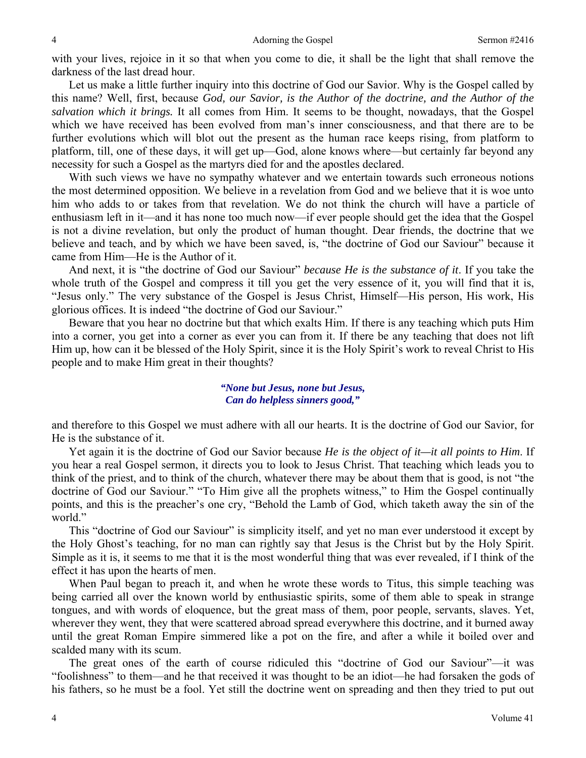with your lives, rejoice in it so that when you come to die, it shall be the light that shall remove the darkness of the last dread hour.

Let us make a little further inquiry into this doctrine of God our Savior. Why is the Gospel called by this name? Well, first, because *God, our Savior, is the Author of the doctrine, and the Author of the salvation which it brings.* It all comes from Him. It seems to be thought, nowadays, that the Gospel which we have received has been evolved from man's inner consciousness, and that there are to be further evolutions which will blot out the present as the human race keeps rising, from platform to platform, till, one of these days, it will get up—God, alone knows where—but certainly far beyond any necessity for such a Gospel as the martyrs died for and the apostles declared.

With such views we have no sympathy whatever and we entertain towards such erroneous notions the most determined opposition. We believe in a revelation from God and we believe that it is woe unto him who adds to or takes from that revelation. We do not think the church will have a particle of enthusiasm left in it—and it has none too much now—if ever people should get the idea that the Gospel is not a divine revelation, but only the product of human thought. Dear friends, the doctrine that we believe and teach, and by which we have been saved, is, "the doctrine of God our Saviour" because it came from Him—He is the Author of it.

And next, it is "the doctrine of God our Saviour" *because He is the substance of it*. If you take the whole truth of the Gospel and compress it till you get the very essence of it, you will find that it is, "Jesus only." The very substance of the Gospel is Jesus Christ, Himself—His person, His work, His glorious offices. It is indeed "the doctrine of God our Saviour."

Beware that you hear no doctrine but that which exalts Him. If there is any teaching which puts Him into a corner, you get into a corner as ever you can from it. If there be any teaching that does not lift Him up, how can it be blessed of the Holy Spirit, since it is the Holy Spirit's work to reveal Christ to His people and to make Him great in their thoughts?

#### *"None but Jesus, none but Jesus, Can do helpless sinners good,"*

and therefore to this Gospel we must adhere with all our hearts. It is the doctrine of God our Savior, for He is the substance of it.

Yet again it is the doctrine of God our Savior because *He is the object of it—it all points to Him*. If you hear a real Gospel sermon, it directs you to look to Jesus Christ. That teaching which leads you to think of the priest, and to think of the church, whatever there may be about them that is good, is not "the doctrine of God our Saviour." "To Him give all the prophets witness," to Him the Gospel continually points, and this is the preacher's one cry, "Behold the Lamb of God, which taketh away the sin of the world."

This "doctrine of God our Saviour" is simplicity itself, and yet no man ever understood it except by the Holy Ghost's teaching, for no man can rightly say that Jesus is the Christ but by the Holy Spirit. Simple as it is, it seems to me that it is the most wonderful thing that was ever revealed, if I think of the effect it has upon the hearts of men.

When Paul began to preach it, and when he wrote these words to Titus, this simple teaching was being carried all over the known world by enthusiastic spirits, some of them able to speak in strange tongues, and with words of eloquence, but the great mass of them, poor people, servants, slaves. Yet, wherever they went, they that were scattered abroad spread everywhere this doctrine, and it burned away until the great Roman Empire simmered like a pot on the fire, and after a while it boiled over and scalded many with its scum.

The great ones of the earth of course ridiculed this "doctrine of God our Saviour"—it was "foolishness" to them—and he that received it was thought to be an idiot—he had forsaken the gods of his fathers, so he must be a fool. Yet still the doctrine went on spreading and then they tried to put out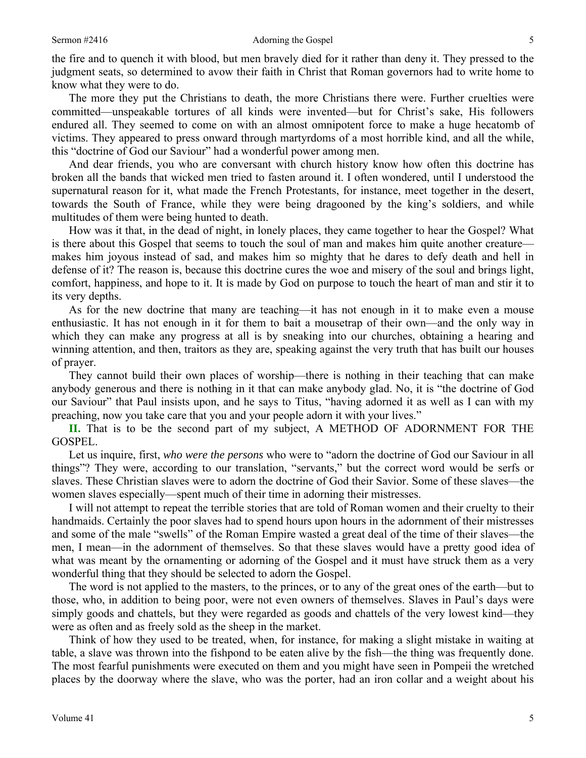the fire and to quench it with blood, but men bravely died for it rather than deny it. They pressed to the judgment seats, so determined to avow their faith in Christ that Roman governors had to write home to know what they were to do.

The more they put the Christians to death, the more Christians there were. Further cruelties were committed—unspeakable tortures of all kinds were invented—but for Christ's sake, His followers endured all. They seemed to come on with an almost omnipotent force to make a huge hecatomb of victims. They appeared to press onward through martyrdoms of a most horrible kind, and all the while, this "doctrine of God our Saviour" had a wonderful power among men.

And dear friends, you who are conversant with church history know how often this doctrine has broken all the bands that wicked men tried to fasten around it. I often wondered, until I understood the supernatural reason for it, what made the French Protestants, for instance, meet together in the desert, towards the South of France, while they were being dragooned by the king's soldiers, and while multitudes of them were being hunted to death.

How was it that, in the dead of night, in lonely places, they came together to hear the Gospel? What is there about this Gospel that seems to touch the soul of man and makes him quite another creature makes him joyous instead of sad, and makes him so mighty that he dares to defy death and hell in defense of it? The reason is, because this doctrine cures the woe and misery of the soul and brings light, comfort, happiness, and hope to it. It is made by God on purpose to touch the heart of man and stir it to its very depths.

As for the new doctrine that many are teaching—it has not enough in it to make even a mouse enthusiastic. It has not enough in it for them to bait a mousetrap of their own—and the only way in which they can make any progress at all is by sneaking into our churches, obtaining a hearing and winning attention, and then, traitors as they are, speaking against the very truth that has built our houses of prayer.

They cannot build their own places of worship—there is nothing in their teaching that can make anybody generous and there is nothing in it that can make anybody glad. No, it is "the doctrine of God our Saviour" that Paul insists upon, and he says to Titus, "having adorned it as well as I can with my preaching, now you take care that you and your people adorn it with your lives."

**II.** That is to be the second part of my subject, A METHOD OF ADORNMENT FOR THE GOSPEL.

Let us inquire, first, *who were the persons* who were to "adorn the doctrine of God our Saviour in all things"? They were, according to our translation, "servants," but the correct word would be serfs or slaves. These Christian slaves were to adorn the doctrine of God their Savior. Some of these slaves—the women slaves especially—spent much of their time in adorning their mistresses.

I will not attempt to repeat the terrible stories that are told of Roman women and their cruelty to their handmaids. Certainly the poor slaves had to spend hours upon hours in the adornment of their mistresses and some of the male "swells" of the Roman Empire wasted a great deal of the time of their slaves—the men, I mean—in the adornment of themselves. So that these slaves would have a pretty good idea of what was meant by the ornamenting or adorning of the Gospel and it must have struck them as a very wonderful thing that they should be selected to adorn the Gospel.

The word is not applied to the masters, to the princes, or to any of the great ones of the earth—but to those, who, in addition to being poor, were not even owners of themselves. Slaves in Paul's days were simply goods and chattels, but they were regarded as goods and chattels of the very lowest kind—they were as often and as freely sold as the sheep in the market.

Think of how they used to be treated, when, for instance, for making a slight mistake in waiting at table, a slave was thrown into the fishpond to be eaten alive by the fish—the thing was frequently done. The most fearful punishments were executed on them and you might have seen in Pompeii the wretched places by the doorway where the slave, who was the porter, had an iron collar and a weight about his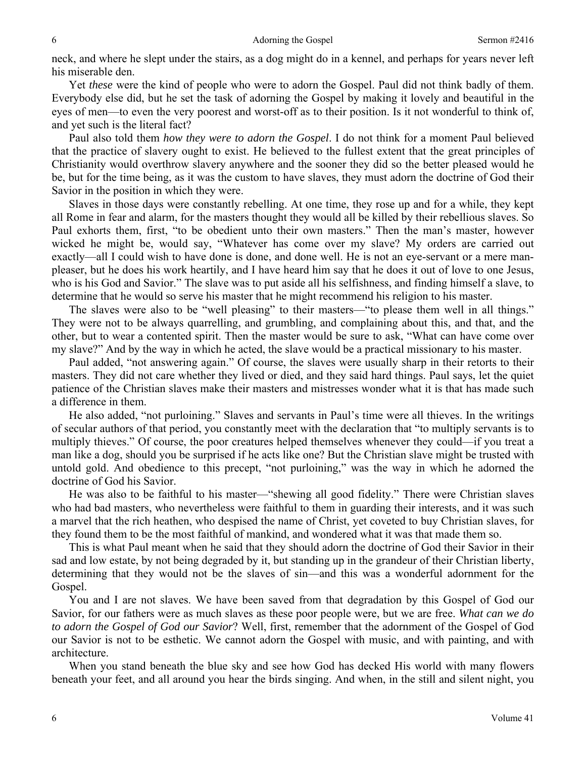neck, and where he slept under the stairs, as a dog might do in a kennel, and perhaps for years never left his miserable den.

Yet *these* were the kind of people who were to adorn the Gospel. Paul did not think badly of them. Everybody else did, but he set the task of adorning the Gospel by making it lovely and beautiful in the eyes of men—to even the very poorest and worst-off as to their position. Is it not wonderful to think of, and yet such is the literal fact?

Paul also told them *how they were to adorn the Gospel*. I do not think for a moment Paul believed that the practice of slavery ought to exist. He believed to the fullest extent that the great principles of Christianity would overthrow slavery anywhere and the sooner they did so the better pleased would he be, but for the time being, as it was the custom to have slaves, they must adorn the doctrine of God their Savior in the position in which they were.

Slaves in those days were constantly rebelling. At one time, they rose up and for a while, they kept all Rome in fear and alarm, for the masters thought they would all be killed by their rebellious slaves. So Paul exhorts them, first, "to be obedient unto their own masters." Then the man's master, however wicked he might be, would say, "Whatever has come over my slave? My orders are carried out exactly—all I could wish to have done is done, and done well. He is not an eye-servant or a mere manpleaser, but he does his work heartily, and I have heard him say that he does it out of love to one Jesus, who is his God and Savior." The slave was to put aside all his selfishness, and finding himself a slave, to determine that he would so serve his master that he might recommend his religion to his master.

The slaves were also to be "well pleasing" to their masters—"to please them well in all things." They were not to be always quarrelling, and grumbling, and complaining about this, and that, and the other, but to wear a contented spirit. Then the master would be sure to ask, "What can have come over my slave?" And by the way in which he acted, the slave would be a practical missionary to his master.

Paul added, "not answering again." Of course, the slaves were usually sharp in their retorts to their masters. They did not care whether they lived or died, and they said hard things. Paul says, let the quiet patience of the Christian slaves make their masters and mistresses wonder what it is that has made such a difference in them.

He also added, "not purloining." Slaves and servants in Paul's time were all thieves. In the writings of secular authors of that period, you constantly meet with the declaration that "to multiply servants is to multiply thieves." Of course, the poor creatures helped themselves whenever they could—if you treat a man like a dog, should you be surprised if he acts like one? But the Christian slave might be trusted with untold gold. And obedience to this precept, "not purloining," was the way in which he adorned the doctrine of God his Savior.

He was also to be faithful to his master—"shewing all good fidelity." There were Christian slaves who had bad masters, who nevertheless were faithful to them in guarding their interests, and it was such a marvel that the rich heathen, who despised the name of Christ, yet coveted to buy Christian slaves, for they found them to be the most faithful of mankind, and wondered what it was that made them so.

This is what Paul meant when he said that they should adorn the doctrine of God their Savior in their sad and low estate, by not being degraded by it, but standing up in the grandeur of their Christian liberty, determining that they would not be the slaves of sin—and this was a wonderful adornment for the Gospel.

You and I are not slaves. We have been saved from that degradation by this Gospel of God our Savior, for our fathers were as much slaves as these poor people were, but we are free. *What can we do to adorn the Gospel of God our Savior*? Well, first, remember that the adornment of the Gospel of God our Savior is not to be esthetic. We cannot adorn the Gospel with music, and with painting, and with architecture.

When you stand beneath the blue sky and see how God has decked His world with many flowers beneath your feet, and all around you hear the birds singing. And when, in the still and silent night, you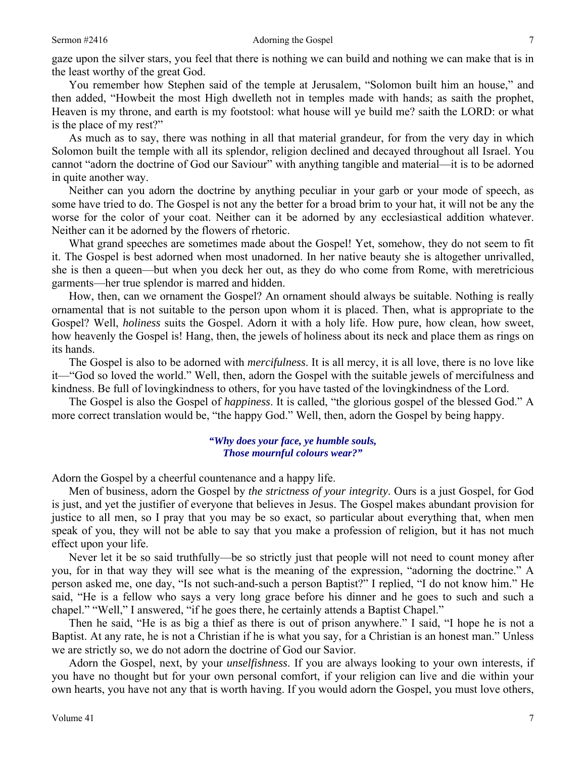gaze upon the silver stars, you feel that there is nothing we can build and nothing we can make that is in the least worthy of the great God.

You remember how Stephen said of the temple at Jerusalem, "Solomon built him an house," and then added, "Howbeit the most High dwelleth not in temples made with hands; as saith the prophet, Heaven is my throne, and earth is my footstool: what house will ye build me? saith the LORD: or what is the place of my rest?"

As much as to say, there was nothing in all that material grandeur, for from the very day in which Solomon built the temple with all its splendor, religion declined and decayed throughout all Israel. You cannot "adorn the doctrine of God our Saviour" with anything tangible and material—it is to be adorned in quite another way.

Neither can you adorn the doctrine by anything peculiar in your garb or your mode of speech, as some have tried to do. The Gospel is not any the better for a broad brim to your hat, it will not be any the worse for the color of your coat. Neither can it be adorned by any ecclesiastical addition whatever. Neither can it be adorned by the flowers of rhetoric.

What grand speeches are sometimes made about the Gospel! Yet, somehow, they do not seem to fit it. The Gospel is best adorned when most unadorned. In her native beauty she is altogether unrivalled, she is then a queen—but when you deck her out, as they do who come from Rome, with meretricious garments—her true splendor is marred and hidden.

How, then, can we ornament the Gospel? An ornament should always be suitable. Nothing is really ornamental that is not suitable to the person upon whom it is placed. Then, what is appropriate to the Gospel? Well, *holiness* suits the Gospel. Adorn it with a holy life. How pure, how clean, how sweet, how heavenly the Gospel is! Hang, then, the jewels of holiness about its neck and place them as rings on its hands.

The Gospel is also to be adorned with *mercifulness*. It is all mercy, it is all love, there is no love like it—"God so loved the world." Well, then, adorn the Gospel with the suitable jewels of mercifulness and kindness. Be full of lovingkindness to others, for you have tasted of the lovingkindness of the Lord.

The Gospel is also the Gospel of *happiness*. It is called, "the glorious gospel of the blessed God." A more correct translation would be, "the happy God." Well, then, adorn the Gospel by being happy.

> *"Why does your face, ye humble souls, Those mournful colours wear?"*

Adorn the Gospel by a cheerful countenance and a happy life.

Men of business, adorn the Gospel by *the strictness of your integrity*. Ours is a just Gospel, for God is just, and yet the justifier of everyone that believes in Jesus. The Gospel makes abundant provision for justice to all men, so I pray that you may be so exact, so particular about everything that, when men speak of you, they will not be able to say that you make a profession of religion, but it has not much effect upon your life.

Never let it be so said truthfully—be so strictly just that people will not need to count money after you, for in that way they will see what is the meaning of the expression, "adorning the doctrine." A person asked me, one day, "Is not such-and-such a person Baptist?" I replied, "I do not know him." He said, "He is a fellow who says a very long grace before his dinner and he goes to such and such a chapel." "Well," I answered, "if he goes there, he certainly attends a Baptist Chapel."

Then he said, "He is as big a thief as there is out of prison anywhere." I said, "I hope he is not a Baptist. At any rate, he is not a Christian if he is what you say, for a Christian is an honest man." Unless we are strictly so, we do not adorn the doctrine of God our Savior.

Adorn the Gospel, next, by your *unselfishness*. If you are always looking to your own interests, if you have no thought but for your own personal comfort, if your religion can live and die within your own hearts, you have not any that is worth having. If you would adorn the Gospel, you must love others,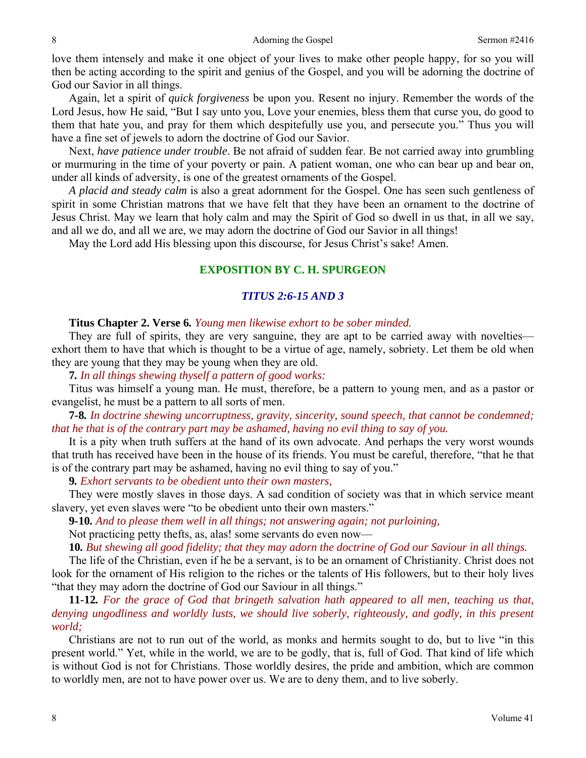love them intensely and make it one object of your lives to make other people happy, for so you will then be acting according to the spirit and genius of the Gospel, and you will be adorning the doctrine of God our Savior in all things.

Again, let a spirit of *quick forgiveness* be upon you. Resent no injury. Remember the words of the Lord Jesus, how He said, "But I say unto you, Love your enemies, bless them that curse you, do good to them that hate you, and pray for them which despitefully use you, and persecute you." Thus you will have a fine set of jewels to adorn the doctrine of God our Savior.

Next, *have patience under trouble*. Be not afraid of sudden fear. Be not carried away into grumbling or murmuring in the time of your poverty or pain. A patient woman, one who can bear up and bear on, under all kinds of adversity, is one of the greatest ornaments of the Gospel.

*A placid and steady calm* is also a great adornment for the Gospel. One has seen such gentleness of spirit in some Christian matrons that we have felt that they have been an ornament to the doctrine of Jesus Christ. May we learn that holy calm and may the Spirit of God so dwell in us that, in all we say, and all we do, and all we are, we may adorn the doctrine of God our Savior in all things!

May the Lord add His blessing upon this discourse, for Jesus Christ's sake! Amen.

## **EXPOSITION BY C. H. SPURGEON**

### *TITUS 2:6-15 AND 3*

#### **Titus Chapter 2. Verse 6***. Young men likewise exhort to be sober minded.*

They are full of spirits, they are very sanguine, they are apt to be carried away with novelties exhort them to have that which is thought to be a virtue of age, namely, sobriety. Let them be old when they are young that they may be young when they are old.

**7***. In all things shewing thyself a pattern of good works:*

Titus was himself a young man. He must, therefore, be a pattern to young men, and as a pastor or evangelist, he must be a pattern to all sorts of men.

**7***-***8***. In doctrine shewing uncorruptness, gravity, sincerity, sound speech, that cannot be condemned; that he that is of the contrary part may be ashamed, having no evil thing to say of you.*

It is a pity when truth suffers at the hand of its own advocate. And perhaps the very worst wounds that truth has received have been in the house of its friends. You must be careful, therefore, "that he that is of the contrary part may be ashamed, having no evil thing to say of you."

**9***. Exhort servants to be obedient unto their own masters,*

They were mostly slaves in those days. A sad condition of society was that in which service meant slavery, yet even slaves were "to be obedient unto their own masters."

**9***-***10***. And to please them well in all things; not answering again; not purloining,* 

Not practicing petty thefts, as, alas! some servants do even now—

**10***. But shewing all good fidelity; that they may adorn the doctrine of God our Saviour in all things.*

The life of the Christian, even if he be a servant, is to be an ornament of Christianity. Christ does not look for the ornament of His religion to the riches or the talents of His followers, but to their holy lives "that they may adorn the doctrine of God our Saviour in all things."

**11***-***12***. For the grace of God that bringeth salvation hath appeared to all men, teaching us that, denying ungodliness and worldly lusts, we should live soberly, righteously, and godly, in this present world;*

Christians are not to run out of the world, as monks and hermits sought to do, but to live "in this present world." Yet, while in the world, we are to be godly, that is, full of God. That kind of life which is without God is not for Christians. Those worldly desires, the pride and ambition, which are common to worldly men, are not to have power over us. We are to deny them, and to live soberly.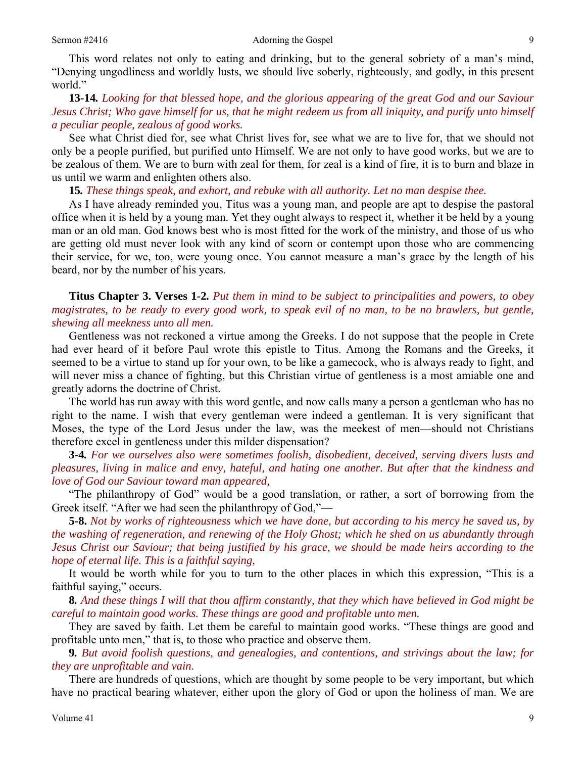This word relates not only to eating and drinking, but to the general sobriety of a man's mind, "Denying ungodliness and worldly lusts, we should live soberly, righteously, and godly, in this present world."

**13***-***14***. Looking for that blessed hope, and the glorious appearing of the great God and our Saviour Jesus Christ; Who gave himself for us, that he might redeem us from all iniquity, and purify unto himself a peculiar people, zealous of good works.*

See what Christ died for, see what Christ lives for, see what we are to live for, that we should not only be a people purified, but purified unto Himself. We are not only to have good works, but we are to be zealous of them. We are to burn with zeal for them, for zeal is a kind of fire, it is to burn and blaze in us until we warm and enlighten others also.

**15***. These things speak, and exhort, and rebuke with all authority. Let no man despise thee.*

As I have already reminded you, Titus was a young man, and people are apt to despise the pastoral office when it is held by a young man. Yet they ought always to respect it, whether it be held by a young man or an old man. God knows best who is most fitted for the work of the ministry, and those of us who are getting old must never look with any kind of scorn or contempt upon those who are commencing their service, for we, too, were young once. You cannot measure a man's grace by the length of his beard, nor by the number of his years.

**Titus Chapter 3. Verses 1***-***2***. Put them in mind to be subject to principalities and powers, to obey magistrates, to be ready to every good work, to speak evil of no man, to be no brawlers, but gentle, shewing all meekness unto all men.* 

Gentleness was not reckoned a virtue among the Greeks. I do not suppose that the people in Crete had ever heard of it before Paul wrote this epistle to Titus. Among the Romans and the Greeks, it seemed to be a virtue to stand up for your own, to be like a gamecock, who is always ready to fight, and will never miss a chance of fighting, but this Christian virtue of gentleness is a most amiable one and greatly adorns the doctrine of Christ.

The world has run away with this word gentle, and now calls many a person a gentleman who has no right to the name. I wish that every gentleman were indeed a gentleman. It is very significant that Moses, the type of the Lord Jesus under the law, was the meekest of men—should not Christians therefore excel in gentleness under this milder dispensation?

**3***-***4***. For we ourselves also were sometimes foolish, disobedient, deceived, serving divers lusts and pleasures, living in malice and envy, hateful, and hating one another. But after that the kindness and love of God our Saviour toward man appeared,* 

"The philanthropy of God" would be a good translation, or rather, a sort of borrowing from the Greek itself. "After we had seen the philanthropy of God,"—

**5-8.** *Not by works of righteousness which we have done, but according to his mercy he saved us, by the washing of regeneration, and renewing of the Holy Ghost; which he shed on us abundantly through Jesus Christ our Saviour; that being justified by his grace, we should be made heirs according to the hope of eternal life. This is a faithful saying,* 

It would be worth while for you to turn to the other places in which this expression, "This is a faithful saying," occurs.

**8***. And these things I will that thou affirm constantly, that they which have believed in God might be careful to maintain good works. These things are good and profitable unto men.* 

They are saved by faith. Let them be careful to maintain good works. "These things are good and profitable unto men," that is, to those who practice and observe them.

**9***. But avoid foolish questions, and genealogies, and contentions, and strivings about the law; for they are unprofitable and vain.* 

There are hundreds of questions, which are thought by some people to be very important, but which have no practical bearing whatever, either upon the glory of God or upon the holiness of man. We are